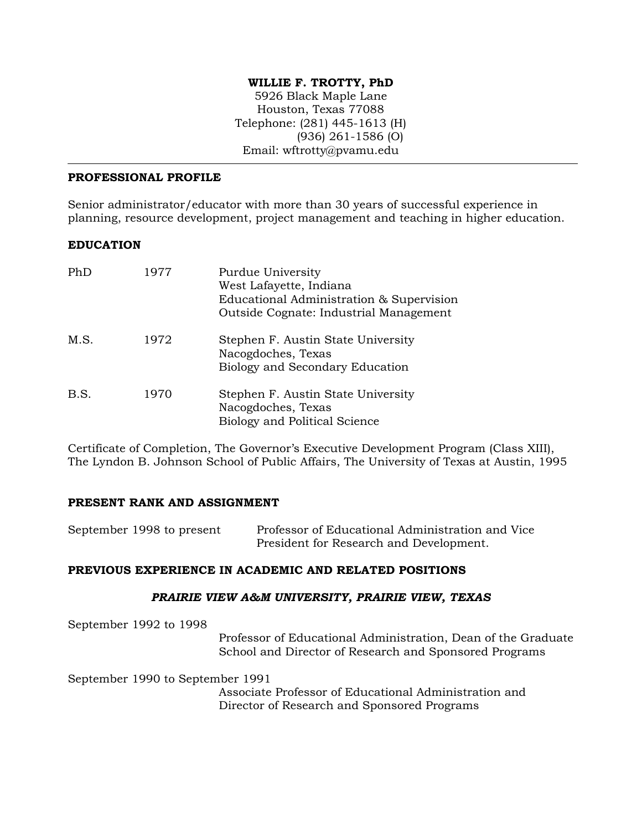## **WILLIE F. TROTTY, PhD**

5926 Black Maple Lane Houston, Texas 77088 Telephone: (281) 445-1613 (H) (936) 261-1586 (O) Email: wftrotty@pvamu.edu

### **PROFESSIONAL PROFILE**

Senior administrator/educator with more than 30 years of successful experience in planning, resource development, project management and teaching in higher education.

### **EDUCATION**

| PhD  | 1977 | Purdue University<br>West Lafayette, Indiana<br>Educational Administration & Supervision<br>Outside Cognate: Industrial Management |
|------|------|------------------------------------------------------------------------------------------------------------------------------------|
| M.S. | 1972 | Stephen F. Austin State University<br>Nacogdoches, Texas<br>Biology and Secondary Education                                        |
| B.S. | 1970 | Stephen F. Austin State University<br>Nacogdoches, Texas<br><b>Biology and Political Science</b>                                   |

Certificate of Completion, The Governor's Executive Development Program (Class XIII), The Lyndon B. Johnson School of Public Affairs, The University of Texas at Austin, 1995

### **PRESENT RANK AND ASSIGNMENT**

| September 1998 to present | Professor of Educational Administration and Vice |
|---------------------------|--------------------------------------------------|
|                           | President for Research and Development.          |

### **PREVIOUS EXPERIENCE IN ACADEMIC AND RELATED POSITIONS**

#### *PRAIRIE VIEW A&M UNIVERSITY, PRAIRIE VIEW, TEXAS*

September 1992 to 1998

Professor of Educational Administration, Dean of the Graduate School and Director of Research and Sponsored Programs

September 1990 to September 1991

 Associate Professor of Educational Administration and Director of Research and Sponsored Programs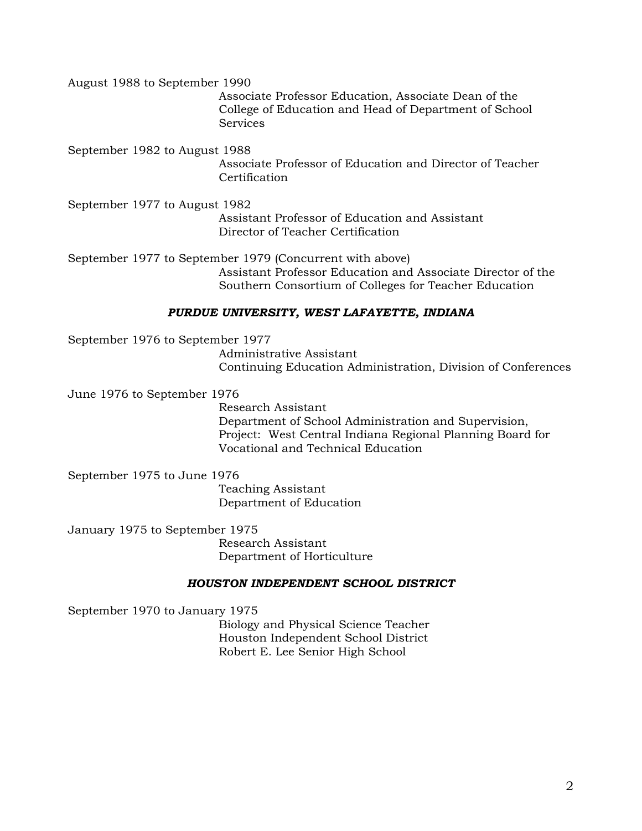August 1988 to September 1990

 Associate Professor Education, Associate Dean of the College of Education and Head of Department of School **Services** 

September 1982 to August 1988

Associate Professor of Education and Director of Teacher **Certification** 

September 1977 to August 1982 Assistant Professor of Education and Assistant Director of Teacher Certification

September 1977 to September 1979 (Concurrent with above) Assistant Professor Education and Associate Director of the Southern Consortium of Colleges for Teacher Education

## *PURDUE UNIVERSITY, WEST LAFAYETTE, INDIANA*

September 1976 to September 1977 Administrative Assistant Continuing Education Administration, Division of Conferences

June 1976 to September 1976

 Research Assistant Department of School Administration and Supervision, Project: West Central Indiana Regional Planning Board for Vocational and Technical Education

September 1975 to June 1976

 Teaching Assistant Department of Education

January 1975 to September 1975

 Research Assistant Department of Horticulture

# *HOUSTON INDEPENDENT SCHOOL DISTRICT*

September 1970 to January 1975 Biology and Physical Science Teacher

Houston Independent School District Robert E. Lee Senior High School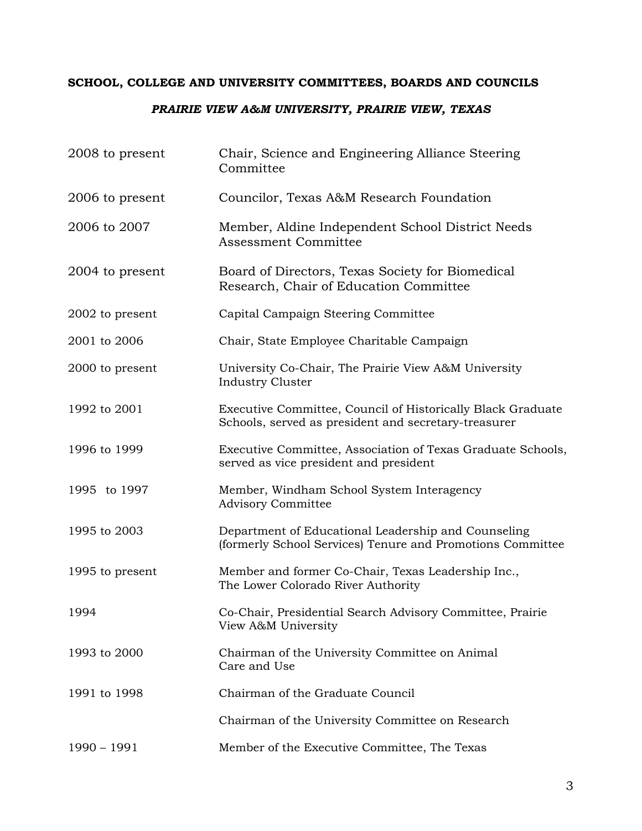# **SCHOOL, COLLEGE AND UNIVERSITY COMMITTEES, BOARDS AND COUNCILS**

# *PRAIRIE VIEW A&M UNIVERSITY, PRAIRIE VIEW, TEXAS*

| 2008 to present | Chair, Science and Engineering Alliance Steering<br>Committee                                                       |
|-----------------|---------------------------------------------------------------------------------------------------------------------|
| 2006 to present | Councilor, Texas A&M Research Foundation                                                                            |
| 2006 to 2007    | Member, Aldine Independent School District Needs<br>Assessment Committee                                            |
| 2004 to present | Board of Directors, Texas Society for Biomedical<br>Research, Chair of Education Committee                          |
| 2002 to present | Capital Campaign Steering Committee                                                                                 |
| 2001 to 2006    | Chair, State Employee Charitable Campaign                                                                           |
| 2000 to present | University Co-Chair, The Prairie View A&M University<br><b>Industry Cluster</b>                                     |
| 1992 to 2001    | Executive Committee, Council of Historically Black Graduate<br>Schools, served as president and secretary-treasurer |
| 1996 to 1999    | Executive Committee, Association of Texas Graduate Schools,<br>served as vice president and president               |
| 1995 to 1997    | Member, Windham School System Interagency<br>Advisory Committee                                                     |
| 1995 to 2003    | Department of Educational Leadership and Counseling<br>(formerly School Services) Tenure and Promotions Committee   |
| 1995 to present | Member and former Co-Chair, Texas Leadership Inc.,<br>The Lower Colorado River Authority                            |
| 1994            | Co-Chair, Presidential Search Advisory Committee, Prairie<br>View A&M University                                    |
| 1993 to 2000    | Chairman of the University Committee on Animal<br>Care and Use                                                      |
| 1991 to 1998    | Chairman of the Graduate Council                                                                                    |
|                 | Chairman of the University Committee on Research                                                                    |
| $1990 - 1991$   | Member of the Executive Committee, The Texas                                                                        |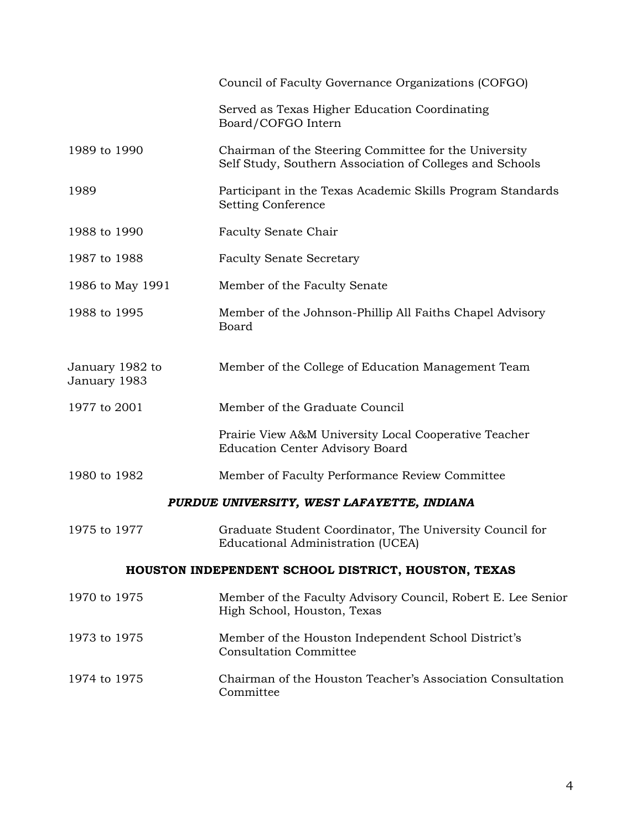|                                                     | Council of Faculty Governance Organizations (COFGO)                                                               |
|-----------------------------------------------------|-------------------------------------------------------------------------------------------------------------------|
|                                                     | Served as Texas Higher Education Coordinating<br>Board/COFGO Intern                                               |
| 1989 to 1990                                        | Chairman of the Steering Committee for the University<br>Self Study, Southern Association of Colleges and Schools |
| 1989                                                | Participant in the Texas Academic Skills Program Standards<br><b>Setting Conference</b>                           |
| 1988 to 1990                                        | Faculty Senate Chair                                                                                              |
| 1987 to 1988                                        | <b>Faculty Senate Secretary</b>                                                                                   |
| 1986 to May 1991                                    | Member of the Faculty Senate                                                                                      |
| 1988 to 1995                                        | Member of the Johnson-Phillip All Faiths Chapel Advisory<br><b>Board</b>                                          |
| January 1982 to<br>January 1983                     | Member of the College of Education Management Team                                                                |
| 1977 to 2001                                        | Member of the Graduate Council                                                                                    |
|                                                     | Prairie View A&M University Local Cooperative Teacher<br><b>Education Center Advisory Board</b>                   |
| 1980 to 1982                                        | Member of Faculty Performance Review Committee                                                                    |
|                                                     | PURDUE UNIVERSITY, WEST LAFAYETTE, INDIANA                                                                        |
| 1975 to 1977                                        | Graduate Student Coordinator, The University Council for<br>Educational Administration (UCEA)                     |
| HOUSTON INDEPENDENT SCHOOL DISTRICT, HOUSTON, TEXAS |                                                                                                                   |
| 1970 to 1975                                        | Member of the Faculty Advisory Council, Robert E. Lee Senior<br>High School, Houston, Texas                       |
| 1973 to 1975                                        | Member of the Houston Independent School District's<br><b>Consultation Committee</b>                              |
| 1974 to 1975                                        | Chairman of the Houston Teacher's Association Consultation<br>Committee                                           |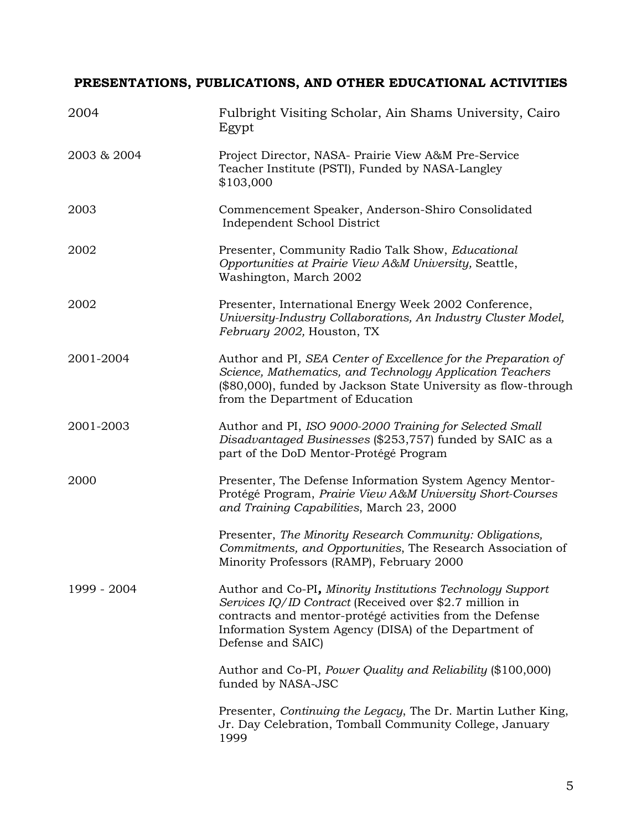# **PRESENTATIONS, PUBLICATIONS, AND OTHER EDUCATIONAL ACTIVITIES**

| 2004        | Fulbright Visiting Scholar, Ain Shams University, Cairo<br>Egypt                                                                                                                                                                                                |
|-------------|-----------------------------------------------------------------------------------------------------------------------------------------------------------------------------------------------------------------------------------------------------------------|
| 2003 & 2004 | Project Director, NASA- Prairie View A&M Pre-Service<br>Teacher Institute (PSTI), Funded by NASA-Langley<br>\$103,000                                                                                                                                           |
| 2003        | Commencement Speaker, Anderson-Shiro Consolidated<br>Independent School District                                                                                                                                                                                |
| 2002        | Presenter, Community Radio Talk Show, Educational<br>Opportunities at Prairie View A&M University, Seattle,<br>Washington, March 2002                                                                                                                           |
| 2002        | Presenter, International Energy Week 2002 Conference,<br>University-Industry Collaborations, An Industry Cluster Model,<br>February 2002, Houston, TX                                                                                                           |
| 2001-2004   | Author and PI, SEA Center of Excellence for the Preparation of<br>Science, Mathematics, and Technology Application Teachers<br>(\$80,000), funded by Jackson State University as flow-through<br>from the Department of Education                               |
| 2001-2003   | Author and PI, ISO 9000-2000 Training for Selected Small<br>Disadvantaged Businesses (\$253,757) funded by SAIC as a<br>part of the DoD Mentor-Protégé Program                                                                                                  |
| 2000        | Presenter, The Defense Information System Agency Mentor-<br>Protégé Program, Prairie View A&M University Short-Courses<br>and Training Capabilities, March 23, 2000                                                                                             |
|             | Presenter, The Minority Research Community: Obligations,<br>Commitments, and Opportunities, The Research Association of<br>Minority Professors (RAMP), February 2000                                                                                            |
| 1999 - 2004 | Author and Co-PI, Minority Institutions Technology Support<br>Services IQ/ID Contract (Received over \$2.7 million in<br>contracts and mentor-protégé activities from the Defense<br>Information System Agency (DISA) of the Department of<br>Defense and SAIC) |
|             | Author and Co-PI, Power Quality and Reliability (\$100,000)<br>funded by NASA-JSC                                                                                                                                                                               |
|             | Presenter, Continuing the Legacy, The Dr. Martin Luther King,<br>Jr. Day Celebration, Tomball Community College, January<br>1999                                                                                                                                |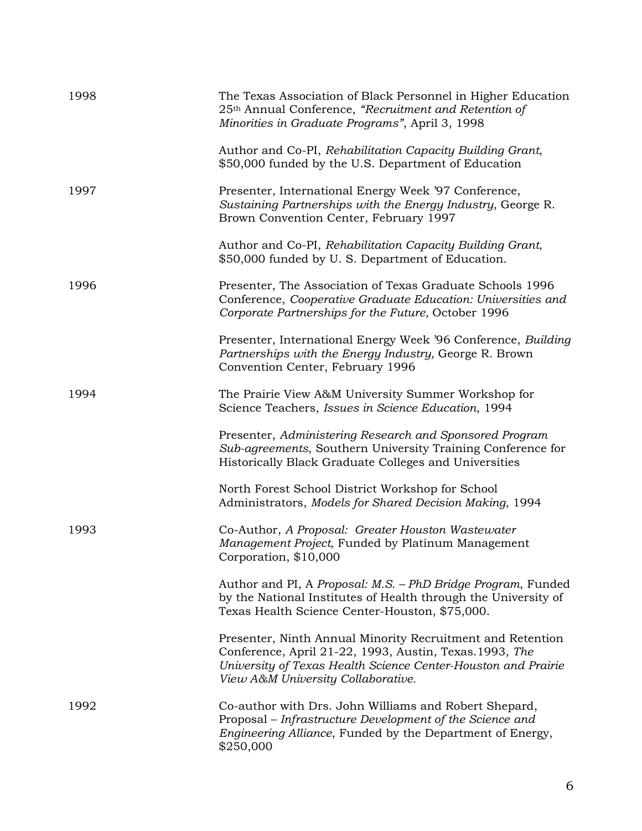| 1998 | The Texas Association of Black Personnel in Higher Education<br>25 <sup>th</sup> Annual Conference, "Recruitment and Retention of<br>Minorities in Graduate Programs", April 3, 1998                                         |
|------|------------------------------------------------------------------------------------------------------------------------------------------------------------------------------------------------------------------------------|
|      | Author and Co-PI, Rehabilitation Capacity Building Grant,<br>\$50,000 funded by the U.S. Department of Education                                                                                                             |
| 1997 | Presenter, International Energy Week '97 Conference,<br>Sustaining Partnerships with the Energy Industry, George R.<br>Brown Convention Center, February 1997                                                                |
|      | Author and Co-PI, Rehabilitation Capacity Building Grant,<br>\$50,000 funded by U.S. Department of Education.                                                                                                                |
| 1996 | Presenter, The Association of Texas Graduate Schools 1996<br>Conference, Cooperative Graduate Education: Universities and<br>Corporate Partnerships for the Future, October 1996                                             |
|      | Presenter, International Energy Week '96 Conference, Building<br>Partnerships with the Energy Industry, George R. Brown<br>Convention Center, February 1996                                                                  |
| 1994 | The Prairie View A&M University Summer Workshop for<br>Science Teachers, Issues in Science Education, 1994                                                                                                                   |
|      | Presenter, Administering Research and Sponsored Program<br>Sub-agreements, Southern University Training Conference for<br>Historically Black Graduate Colleges and Universities                                              |
|      | North Forest School District Workshop for School<br>Administrators, Models for Shared Decision Making, 1994                                                                                                                  |
| 1993 | Co-Author, A Proposal: Greater Houston Wastewater<br>Management Project, Funded by Platinum Management<br>Corporation, \$10,000                                                                                              |
|      | Author and PI, A Proposal: M.S. - PhD Bridge Program, Funded<br>by the National Institutes of Health through the University of<br>Texas Health Science Center-Houston, \$75,000.                                             |
|      | Presenter, Ninth Annual Minority Recruitment and Retention<br>Conference, April 21-22, 1993, Austin, Texas. 1993, The<br>University of Texas Health Science Center-Houston and Prairie<br>View A&M University Collaborative. |
| 1992 | Co-author with Drs. John Williams and Robert Shepard,<br>Proposal – Infrastructure Development of the Science and<br>Engineering Alliance, Funded by the Department of Energy,<br>\$250,000                                  |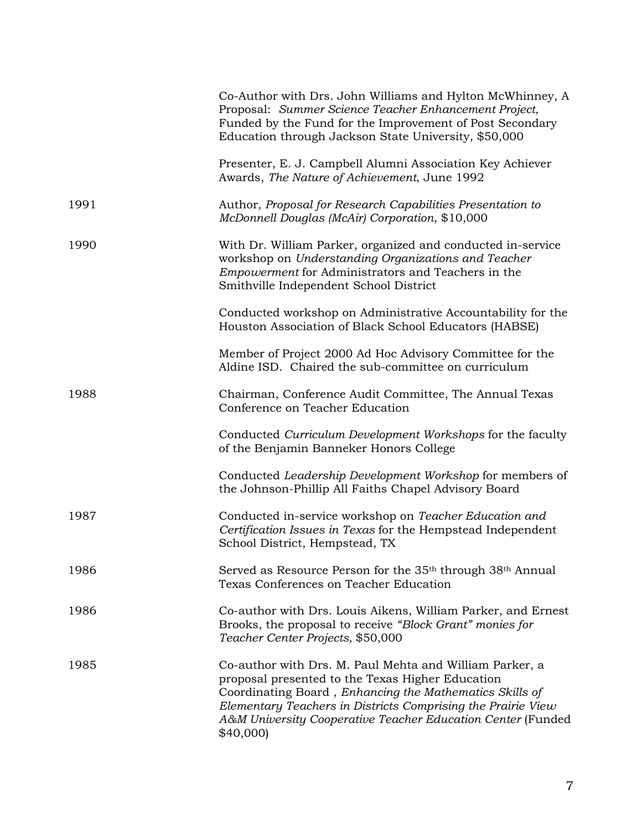|      | Co-Author with Drs. John Williams and Hylton McWhinney, A<br>Proposal: Summer Science Teacher Enhancement Project,<br>Funded by the Fund for the Improvement of Post Secondary<br>Education through Jackson State University, \$50,000                                                                            |
|------|-------------------------------------------------------------------------------------------------------------------------------------------------------------------------------------------------------------------------------------------------------------------------------------------------------------------|
|      | Presenter, E. J. Campbell Alumni Association Key Achiever<br>Awards, The Nature of Achievement, June 1992                                                                                                                                                                                                         |
| 1991 | Author, Proposal for Research Capabilities Presentation to<br>McDonnell Douglas (McAir) Corporation, \$10,000                                                                                                                                                                                                     |
| 1990 | With Dr. William Parker, organized and conducted in-service<br>workshop on Understanding Organizations and Teacher<br>Empowerment for Administrators and Teachers in the<br>Smithville Independent School District                                                                                                |
|      | Conducted workshop on Administrative Accountability for the<br>Houston Association of Black School Educators (HABSE)                                                                                                                                                                                              |
|      | Member of Project 2000 Ad Hoc Advisory Committee for the<br>Aldine ISD. Chaired the sub-committee on curriculum                                                                                                                                                                                                   |
| 1988 | Chairman, Conference Audit Committee, The Annual Texas<br>Conference on Teacher Education                                                                                                                                                                                                                         |
|      | Conducted Curriculum Development Workshops for the faculty<br>of the Benjamin Banneker Honors College                                                                                                                                                                                                             |
|      | Conducted Leadership Development Workshop for members of<br>the Johnson-Phillip All Faiths Chapel Advisory Board                                                                                                                                                                                                  |
| 1987 | Conducted in-service workshop on Teacher Education and<br>Certification Issues in Texas for the Hempstead Independent<br>School District, Hempstead, TX                                                                                                                                                           |
| 1986 | Served as Resource Person for the 35 <sup>th</sup> through 38 <sup>th</sup> Annual<br>Texas Conferences on Teacher Education                                                                                                                                                                                      |
| 1986 | Co-author with Drs. Louis Aikens, William Parker, and Ernest<br>Brooks, the proposal to receive "Block Grant" monies for<br>Teacher Center Projects, \$50,000                                                                                                                                                     |
| 1985 | Co-author with Drs. M. Paul Mehta and William Parker, a<br>proposal presented to the Texas Higher Education<br>Coordinating Board, Enhancing the Mathematics Skills of<br>Elementary Teachers in Districts Comprising the Prairie View<br>A&M University Cooperative Teacher Education Center (Funded<br>\$40,000 |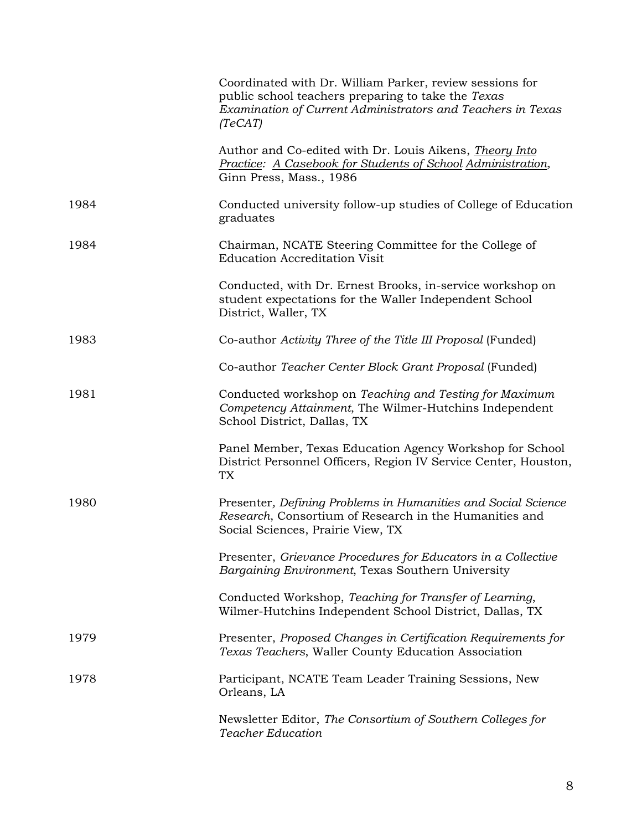|      | Coordinated with Dr. William Parker, review sessions for<br>public school teachers preparing to take the Texas<br>Examination of Current Administrators and Teachers in Texas<br>(TeCAT) |
|------|------------------------------------------------------------------------------------------------------------------------------------------------------------------------------------------|
|      | Author and Co-edited with Dr. Louis Aikens, <i>Theory Into</i><br>Practice: A Casebook for Students of School Administration,<br>Ginn Press, Mass., 1986                                 |
| 1984 | Conducted university follow-up studies of College of Education<br>graduates                                                                                                              |
| 1984 | Chairman, NCATE Steering Committee for the College of<br><b>Education Accreditation Visit</b>                                                                                            |
|      | Conducted, with Dr. Ernest Brooks, in-service workshop on<br>student expectations for the Waller Independent School<br>District, Waller, TX                                              |
| 1983 | Co-author Activity Three of the Title III Proposal (Funded)                                                                                                                              |
|      | Co-author Teacher Center Block Grant Proposal (Funded)                                                                                                                                   |
| 1981 | Conducted workshop on Teaching and Testing for Maximum<br>Competency Attainment, The Wilmer-Hutchins Independent<br>School District, Dallas, TX                                          |
|      | Panel Member, Texas Education Agency Workshop for School<br>District Personnel Officers, Region IV Service Center, Houston,<br>TX                                                        |
| 1980 | Presenter, Defining Problems in Humanities and Social Science<br>Research, Consortium of Research in the Humanities and<br>Social Sciences, Prairie View, TX                             |
|      | Presenter, Grievance Procedures for Educators in a Collective<br>Bargaining Environment, Texas Southern University                                                                       |
|      | Conducted Workshop, Teaching for Transfer of Learning,<br>Wilmer-Hutchins Independent School District, Dallas, TX                                                                        |
| 1979 | Presenter, Proposed Changes in Certification Requirements for<br>Texas Teachers, Waller County Education Association                                                                     |
| 1978 | Participant, NCATE Team Leader Training Sessions, New<br>Orleans, LA                                                                                                                     |
|      | Newsletter Editor, The Consortium of Southern Colleges for<br><b>Teacher Education</b>                                                                                                   |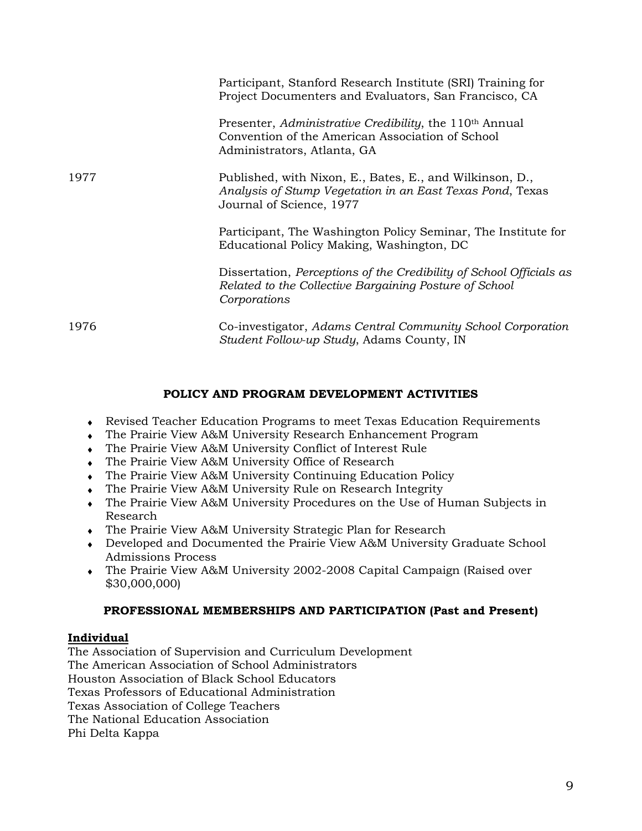|      | Participant, Stanford Research Institute (SRI) Training for<br>Project Documenters and Evaluators, San Francisco, CA                                   |
|------|--------------------------------------------------------------------------------------------------------------------------------------------------------|
|      | Presenter, Administrative Credibility, the 110 <sup>th</sup> Annual<br>Convention of the American Association of School<br>Administrators, Atlanta, GA |
| 1977 | Published, with Nixon, E., Bates, E., and Wilkinson, D.,<br>Analysis of Stump Vegetation in an East Texas Pond, Texas<br>Journal of Science, 1977      |
|      | Participant, The Washington Policy Seminar, The Institute for<br>Educational Policy Making, Washington, DC                                             |
|      | Dissertation, Perceptions of the Credibility of School Officials as<br>Related to the Collective Bargaining Posture of School<br>Corporations          |
| 1976 | Co-investigator, Adams Central Community School Corporation<br>Student Follow-up Study, Adams County, IN                                               |

## **POLICY AND PROGRAM DEVELOPMENT ACTIVITIES**

- ♦ Revised Teacher Education Programs to meet Texas Education Requirements
- ♦ The Prairie View A&M University Research Enhancement Program
- ♦ The Prairie View A&M University Conflict of Interest Rule
- ♦ The Prairie View A&M University Office of Research
- The Prairie View A&M University Continuing Education Policy
- ♦ The Prairie View A&M University Rule on Research Integrity
- The Prairie View A&M University Procedures on the Use of Human Subjects in Research
- ♦ The Prairie View A&M University Strategic Plan for Research
- ♦ Developed and Documented the Prairie View A&M University Graduate School Admissions Process
- ♦ The Prairie View A&M University 2002-2008 Capital Campaign (Raised over \$30,000,000)

# **PROFESSIONAL MEMBERSHIPS AND PARTICIPATION (Past and Present)**

# **Individual**

The Association of Supervision and Curriculum Development The American Association of School Administrators Houston Association of Black School Educators Texas Professors of Educational Administration Texas Association of College Teachers The National Education Association Phi Delta Kappa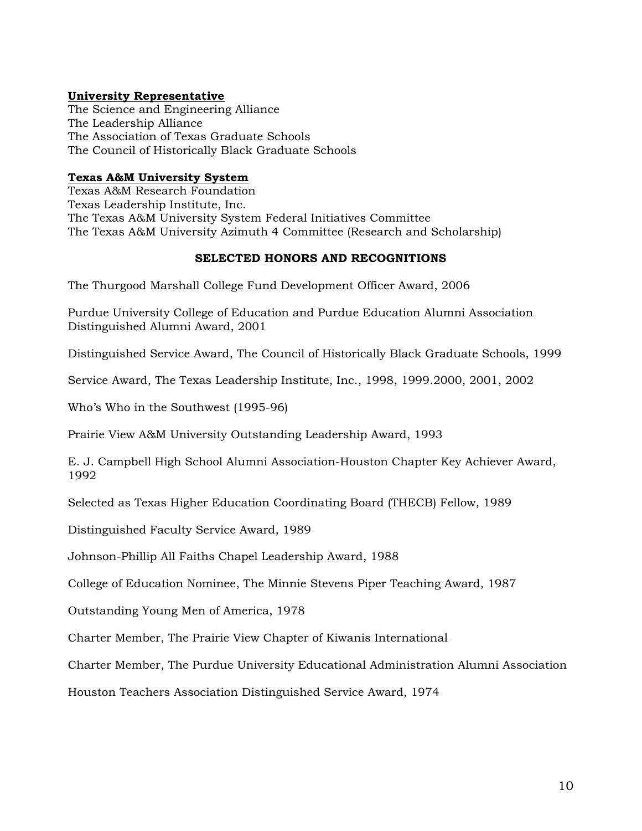## **University Representative**

The Science and Engineering Alliance The Leadership Alliance The Association of Texas Graduate Schools The Council of Historically Black Graduate Schools

## **Texas A&M University System**

Texas A&M Research Foundation Texas Leadership Institute, Inc. The Texas A&M University System Federal Initiatives Committee The Texas A&M University Azimuth 4 Committee (Research and Scholarship)

### **SELECTED HONORS AND RECOGNITIONS**

The Thurgood Marshall College Fund Development Officer Award, 2006

Purdue University College of Education and Purdue Education Alumni Association Distinguished Alumni Award, 2001

Distinguished Service Award, The Council of Historically Black Graduate Schools, 1999

Service Award, The Texas Leadership Institute, Inc., 1998, 1999.2000, 2001, 2002

Who's Who in the Southwest (1995-96)

Prairie View A&M University Outstanding Leadership Award, 1993

E. J. Campbell High School Alumni Association-Houston Chapter Key Achiever Award, 1992

Selected as Texas Higher Education Coordinating Board (THECB) Fellow, 1989

Distinguished Faculty Service Award, 1989

Johnson-Phillip All Faiths Chapel Leadership Award, 1988

College of Education Nominee, The Minnie Stevens Piper Teaching Award, 1987

Outstanding Young Men of America, 1978

Charter Member, The Prairie View Chapter of Kiwanis International

Charter Member, The Purdue University Educational Administration Alumni Association

Houston Teachers Association Distinguished Service Award, 1974